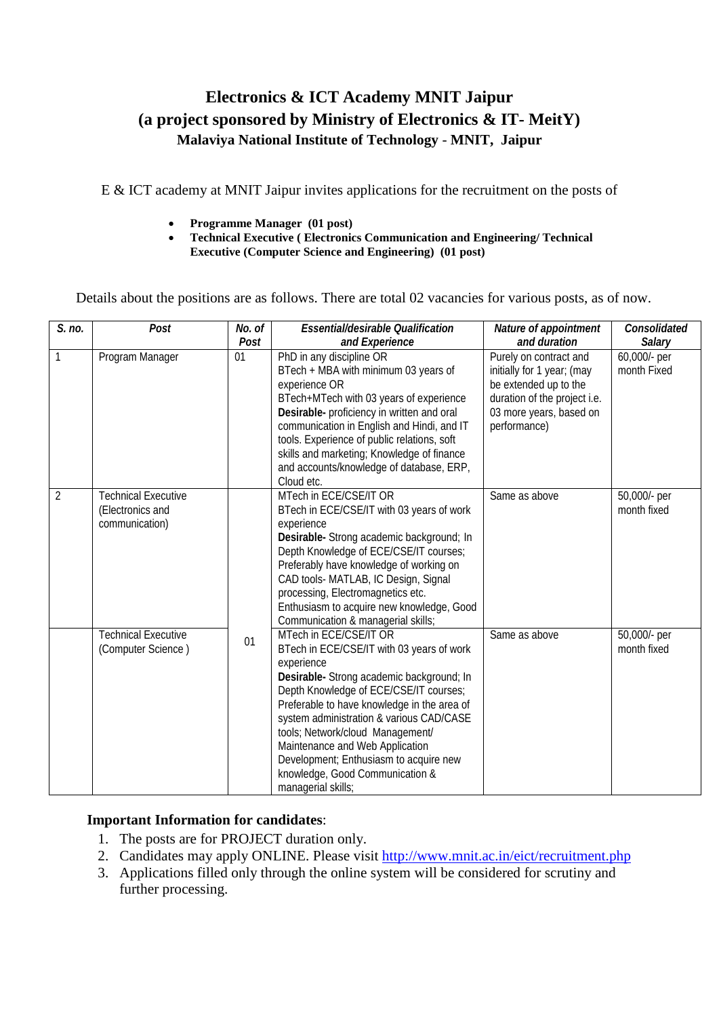## **Electronics & ICT Academy MNIT Jaipur (a project sponsored by Ministry of Electronics & IT- MeitY) Malaviya National Institute of Technology** - **MNIT, Jaipur**

E & ICT academy at MNIT Jaipur invites applications for the recruitment on the posts of

- **Programme Manager (01 post)**
- **Technical Executive ( Electronics Communication and Engineering/ Technical Executive (Computer Science and Engineering) (01 post)**

Details about the positions are as follows. There are total 02 vacancies for various posts, as of now.

| S. no.         | Post                                                             | No. of<br>Post | Essential/desirable Qualification<br>and Experience                                                                                                                                                                                                                                                                                                                                                                                           | Nature of appointment<br>and duration                                                                                                                    | Consolidated<br>Salary      |
|----------------|------------------------------------------------------------------|----------------|-----------------------------------------------------------------------------------------------------------------------------------------------------------------------------------------------------------------------------------------------------------------------------------------------------------------------------------------------------------------------------------------------------------------------------------------------|----------------------------------------------------------------------------------------------------------------------------------------------------------|-----------------------------|
| 1              | Program Manager                                                  | 01             | PhD in any discipline OR<br>BTech + MBA with minimum 03 years of<br>experience OR<br>BTech+MTech with 03 years of experience<br>Desirable- proficiency in written and oral<br>communication in English and Hindi, and IT<br>tools. Experience of public relations, soft<br>skills and marketing; Knowledge of finance<br>and accounts/knowledge of database, ERP,<br>Cloud etc.                                                               | Purely on contract and<br>initially for 1 year; (may<br>be extended up to the<br>duration of the project i.e.<br>03 more years, based on<br>performance) | 60,000/- per<br>month Fixed |
| $\overline{2}$ | <b>Technical Executive</b><br>(Electronics and<br>communication) |                | MTech in ECE/CSE/IT OR<br>BTech in ECE/CSE/IT with 03 years of work<br>experience<br>Desirable- Strong academic background; In<br>Depth Knowledge of ECE/CSE/IT courses;<br>Preferably have knowledge of working on<br>CAD tools- MATLAB, IC Design, Signal<br>processing, Electromagnetics etc.<br>Enthusiasm to acquire new knowledge, Good<br>Communication & managerial skills;                                                           | Same as above                                                                                                                                            | 50,000/- per<br>month fixed |
|                | <b>Technical Executive</b><br>(Computer Science)                 | 01             | MTech in ECE/CSE/IT OR<br>BTech in ECE/CSE/IT with 03 years of work<br>experience<br>Desirable- Strong academic background; In<br>Depth Knowledge of ECE/CSE/IT courses;<br>Preferable to have knowledge in the area of<br>system administration & various CAD/CASE<br>tools; Network/cloud Management/<br>Maintenance and Web Application<br>Development; Enthusiasm to acquire new<br>knowledge, Good Communication &<br>managerial skills; | Same as above                                                                                                                                            | 50,000/- per<br>month fixed |

## **Important Information for candidates**:

- 1. The posts are for PROJECT duration only.
- 2. Candidates may apply ONLINE. Please visit<http://www.mnit.ac.in/eict/recruitment.php>
- 3. Applications filled only through the online system will be considered for scrutiny and further processing.